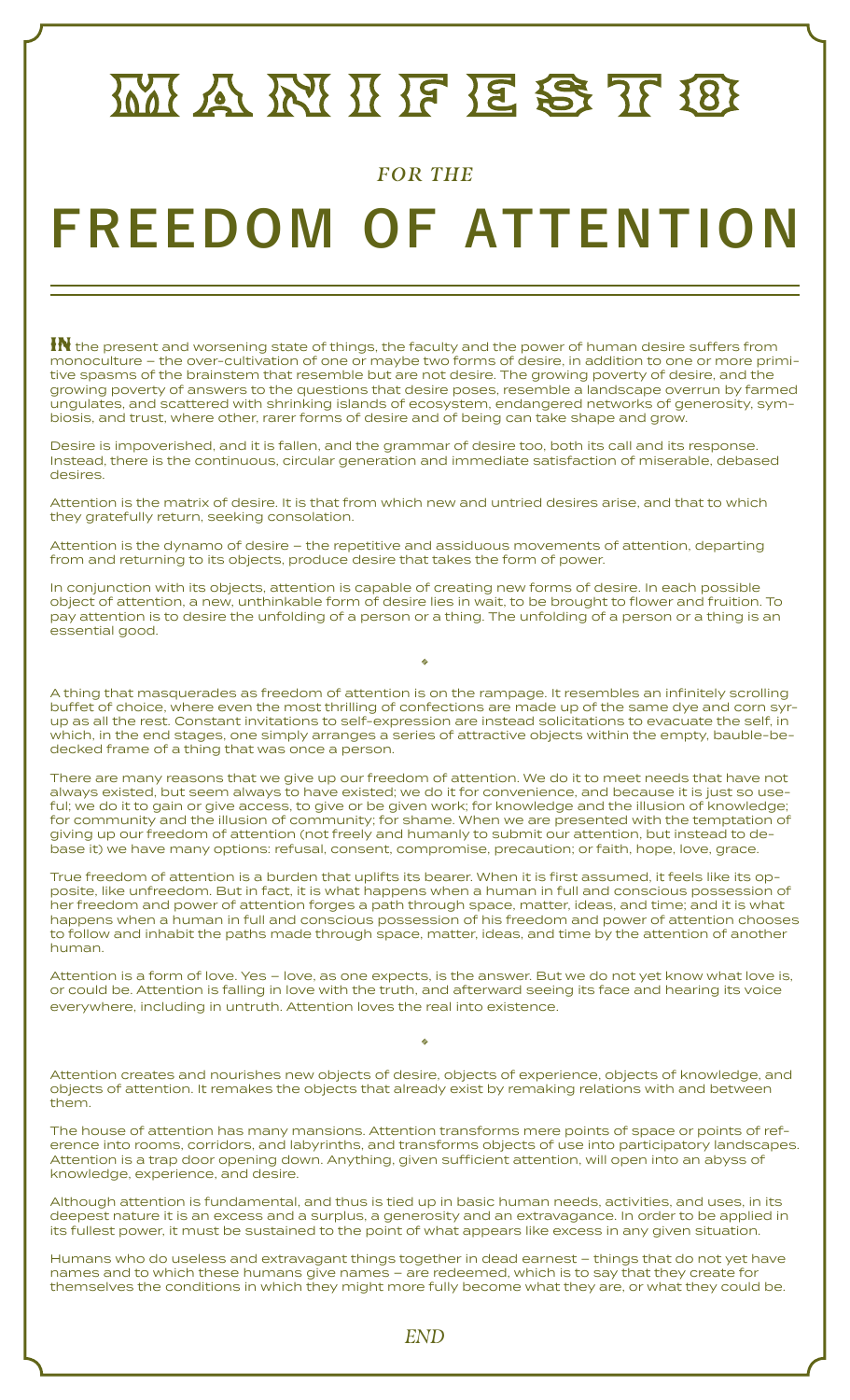## MANNIFESTIO

## *FOR THE*

## **FREEDOM OF ATTENTION**

 ${\bf H}$  the present and worsening state of things, the faculty and the power of human desire suffers from monoculture – the over-cultivation of one or maybe two forms of desire, in addition to one or more primitive spasms of the brainstem that resemble but are not desire. The growing poverty of desire, and the growing poverty of answers to the questions that desire poses, resemble a landscape overrun by farmed ungulates, and scattered with shrinking islands of ecosystem, endangered networks of generosity, symbiosis, and trust, where other, rarer forms of desire and of being can take shape and grow.

Desire is impoverished, and it is fallen, and the grammar of desire too, both its call and its response. Instead, there is the continuous, circular generation and immediate satisfaction of miserable, debased desires.

Attention is the matrix of desire. It is that from which new and untried desires arise, and that to which they gratefully return, seeking consolation.

Attention is the dynamo of desire – the repetitive and assiduous movements of attention, departing from and returning to its objects, produce desire that takes the form of power.

In conjunction with its objects, attention is capable of creating new forms of desire. In each possible object of attention, a new, unthinkable form of desire lies in wait, to be brought to flower and fruition. To pay attention is to desire the unfolding of a person or a thing. The unfolding of a person or a thing is an essential good.

A thing that masquerades as freedom of attention is on the rampage. It resembles an infinitely scrolling buffet of choice, where even the most thrilling of confections are made up of the same dye and corn syrup as all the rest. Constant invitations to self-expression are instead solicitations to evacuate the self, in which, in the end stages, one simply arranges a series of attractive objects within the empty, bauble-bedecked frame of a thing that was once a person.

**12** 

There are many reasons that we give up our freedom of attention. We do it to meet needs that have not always existed, but seem always to have existed; we do it for convenience, and because it is just so useful; we do it to gain or give access, to give or be given work; for knowledge and the illusion of knowledge; for community and the illusion of community; for shame. When we are presented with the temptation of giving up our freedom of attention (not freely and humanly to submit our attention, but instead to debase it) we have many options: refusal, consent, compromise, precaution; or faith, hope, love, grace.

True freedom of attention is a burden that uplifts its bearer. When it is first assumed, it feels like its opposite, like unfreedom. But in fact, it is what happens when a human in full and conscious possession of her freedom and power of attention forges a path through space, matter, ideas, and time; and it is what happens when a human in full and conscious possession of his freedom and power of attention chooses to follow and inhabit the paths made through space, matter, ideas, and time by the attention of another human.

Attention is a form of love. Yes – love, as one expects, is the answer. But we do not yet know what love is, or could be. Attention is falling in love with the truth, and afterward seeing its face and hearing its voice everywhere, including in untruth. Attention loves the real into existence.

Attention creates and nourishes new objects of desire, objects of experience, objects of knowledge, and objects of attention. It remakes the objects that already exist by remaking relations with and between them.

**12** 

The house of attention has many mansions. Attention transforms mere points of space or points of reference into rooms, corridors, and labyrinths, and transforms objects of use into participatory landscapes. Attention is a trap door opening down. Anything, given sufficient attention, will open into an abyss of knowledge, experience, and desire.

Although attention is fundamental, and thus is tied up in basic human needs, activities, and uses, in its deepest nature it is an excess and a surplus, a generosity and an extravagance. In order to be applied in its fullest power, it must be sustained to the point of what appears like excess in any given situation.

Humans who do useless and extravagant things together in dead earnest – things that do not yet have names and to which these humans give names – are redeemed, which is to say that they create for themselves the conditions in which they might more fully become what they are, or what they could be.